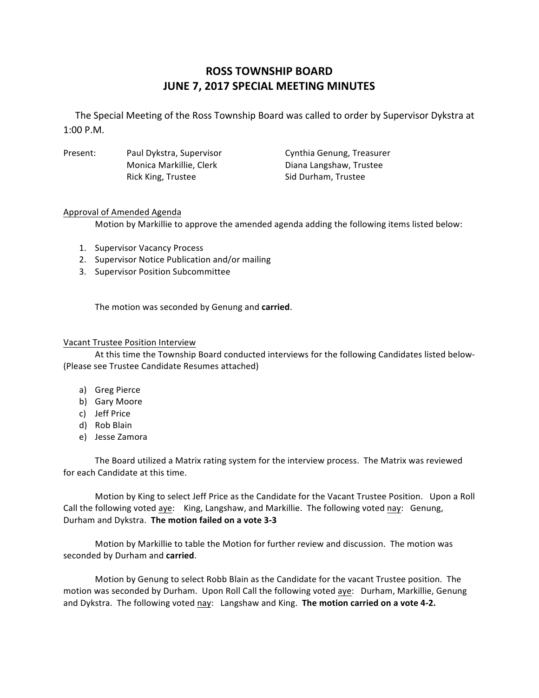# **ROSS TOWNSHIP BOARD JUNE 7, 2017 SPECIAL MEETING MINUTES**

The Special Meeting of the Ross Township Board was called to order by Supervisor Dykstra at 1:00 P.M.

Present: Paul Dykstra, Supervisor Cynthia Genung, Treasurer Monica Markillie, Clerk Diana Langshaw, Trustee Rick King, Trustee Sid Durham, Trustee

## Approval of Amended Agenda

Motion by Markillie to approve the amended agenda adding the following items listed below:

- 1. Supervisor Vacancy Process
- 2. Supervisor Notice Publication and/or mailing
- 3. Supervisor Position Subcommittee

The motion was seconded by Genung and **carried**.

## Vacant Trustee Position Interview

At this time the Township Board conducted interviews for the following Candidates listed below-(Please see Trustee Candidate Resumes attached)

- a) Greg Pierce
- b) Gary Moore
- c) Jeff Price
- d) Rob Blain
- e) Jesse Zamora

The Board utilized a Matrix rating system for the interview process. The Matrix was reviewed for each Candidate at this time.

Motion by King to select Jeff Price as the Candidate for the Vacant Trustee Position. Upon a Roll Call the following voted aye: King, Langshaw, and Markillie. The following voted nay: Genung, Durham and Dykstra. The motion failed on a vote 3-3

Motion by Markillie to table the Motion for further review and discussion. The motion was seconded by Durham and **carried**.

Motion by Genung to select Robb Blain as the Candidate for the vacant Trustee position. The motion was seconded by Durham. Upon Roll Call the following voted aye: Durham, Markillie, Genung and Dykstra. The following voted nay: Langshaw and King. The motion carried on a vote 4-2.